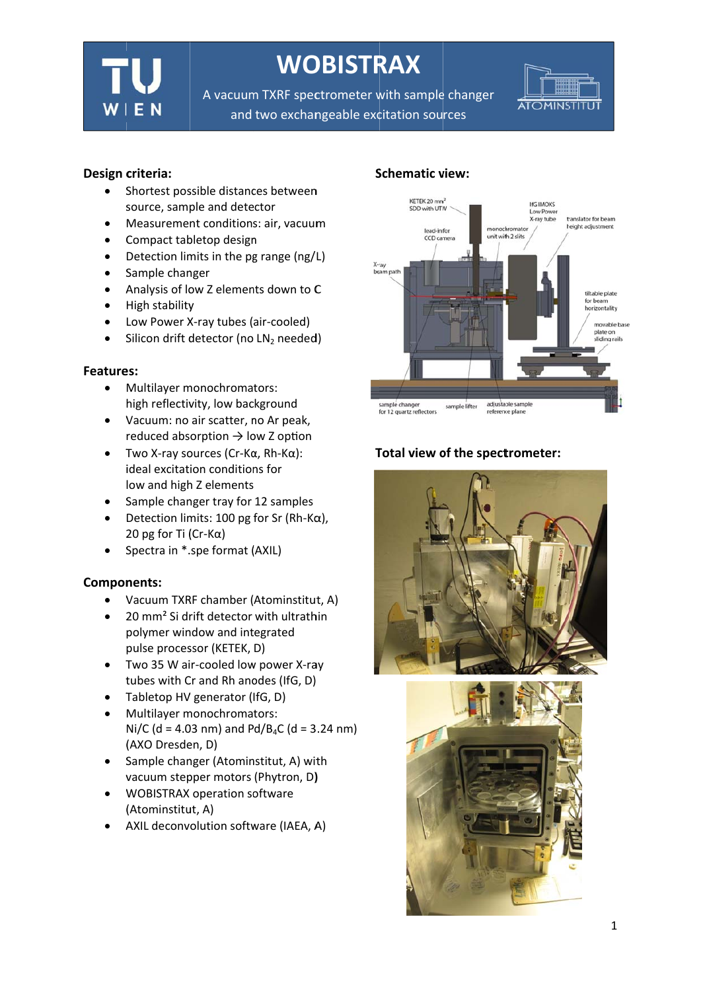

# **WOBISTRAX**

A vacuum TXRF spectrometer with sample changer and two exchangeable excitation sources



## Design criteria:

- Shortest possible distances between  $\bullet$ source, sample and detector
- Measurement conditions: air, vacuum  $\bullet$
- Compact tabletop design  $\bullet$
- Detection limits in the pg range (ng/L)  $\bullet$
- Sample changer  $\bullet$
- Analysis of low Z elements down to C  $\blacktriangle$
- High stability  $\bullet$
- Low Power X-ray tubes (air-cooled)  $\bullet$
- $\bullet$ Silicon drift detector (no LN2 needed)

#### Features:

- Multilayer monochromators:  $\bullet$ high reflectivity, low background
- Vacuum: no air scatter, no Ar peak,  $\bullet$ reduced absorption  $\rightarrow$  low Z option
- Two X-ray sources ( $Cr$ - $K\alpha$ ,  $Rh$ - $K\alpha$ ):  $\bullet$ ideal excitation conditions for low and high Z elements
- Sample changer tray for 12 samples
- Detection limits: 100 pg for Sr (Rh-K $\alpha$ ), 20 pg for Ti (Cr-K $\alpha$ )
- Spectra in \*.spe format (AXIL)

#### **Components:**

- Vacuum TXRF chamber (Atominstitut, A)
- 20 mm<sup>2</sup> Si drift detector with ultrathin polymer window and integrated pulse processor (KETEK, D)
- Two 35 W air-cooled low power X-ray  $\bullet$ tubes with Cr and Rh anodes (IfG, D)
- Tabletop HV generator (IfG, D)  $\bullet$
- Multilayer monochromators: Ni/C (d = 4.03 nm) and Pd/B<sub>4</sub>C (d = 3.24 nm) (AXO Dresden, D)
- Sample changer (Atominstitut, A) with  $\bullet$ vacuum stepper motors (Phytron, D)
- **WOBISTRAX operation software**  $\bullet$ (Atominstitut, A)
- AXIL deconvolution software (IAEA, A)  $\bullet$

## **Schematic view:**



## Total view of the spectrometer:



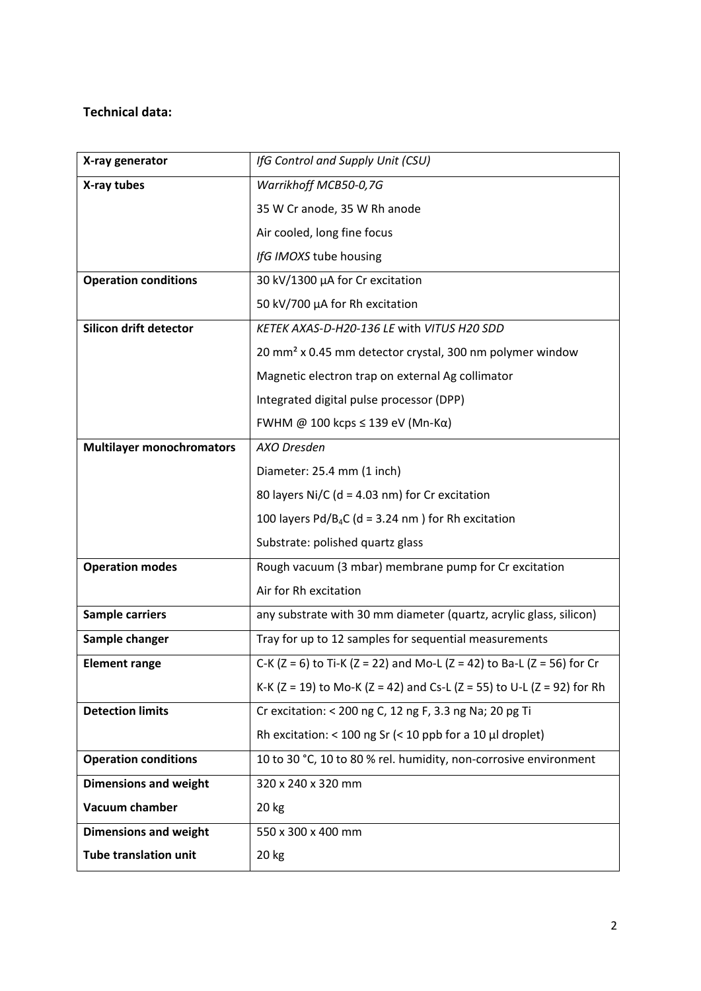## **Technical data:**

| X-ray generator                  | IfG Control and Supply Unit (CSU)                                                      |
|----------------------------------|----------------------------------------------------------------------------------------|
| X-ray tubes                      | Warrikhoff MCB50-0,7G                                                                  |
|                                  | 35 W Cr anode, 35 W Rh anode                                                           |
|                                  | Air cooled, long fine focus                                                            |
|                                  | IfG IMOXS tube housing                                                                 |
| <b>Operation conditions</b>      | 30 kV/1300 µA for Cr excitation                                                        |
|                                  | 50 kV/700 µA for Rh excitation                                                         |
| Silicon drift detector           | KETEK AXAS-D-H20-136 LE with VITUS H20 SDD                                             |
|                                  | 20 mm <sup>2</sup> x 0.45 mm detector crystal, 300 nm polymer window                   |
|                                  | Magnetic electron trap on external Ag collimator                                       |
|                                  | Integrated digital pulse processor (DPP)                                               |
|                                  | FWHM @ 100 kcps $\leq$ 139 eV (Mn-Ka)                                                  |
| <b>Multilayer monochromators</b> | AXO Dresden                                                                            |
|                                  | Diameter: 25.4 mm (1 inch)                                                             |
|                                  | 80 layers Ni/C ( $d = 4.03$ nm) for Cr excitation                                      |
|                                  | 100 layers $Pd/B_4C$ (d = 3.24 nm) for Rh excitation                                   |
|                                  | Substrate: polished quartz glass                                                       |
| <b>Operation modes</b>           | Rough vacuum (3 mbar) membrane pump for Cr excitation                                  |
|                                  | Air for Rh excitation                                                                  |
| <b>Sample carriers</b>           | any substrate with 30 mm diameter (quartz, acrylic glass, silicon)                     |
| Sample changer                   | Tray for up to 12 samples for sequential measurements                                  |
| <b>Element range</b>             | C-K ( $Z = 6$ ) to Ti-K ( $Z = 22$ ) and Mo-L ( $Z = 42$ ) to Ba-L ( $Z = 56$ ) for Cr |
|                                  | K-K (Z = 19) to Mo-K (Z = 42) and Cs-L (Z = 55) to U-L (Z = 92) for Rh                 |
| <b>Detection limits</b>          | Cr excitation: < 200 ng C, 12 ng F, 3.3 ng Na; 20 pg Ti                                |
|                                  | Rh excitation: < 100 ng Sr (< 10 ppb for a 10 $\mu$ l droplet)                         |
| <b>Operation conditions</b>      | 10 to 30 °C, 10 to 80 % rel. humidity, non-corrosive environment                       |
| <b>Dimensions and weight</b>     | 320 x 240 x 320 mm                                                                     |
| Vacuum chamber                   | 20 kg                                                                                  |
| <b>Dimensions and weight</b>     | 550 x 300 x 400 mm                                                                     |
| <b>Tube translation unit</b>     | 20 kg                                                                                  |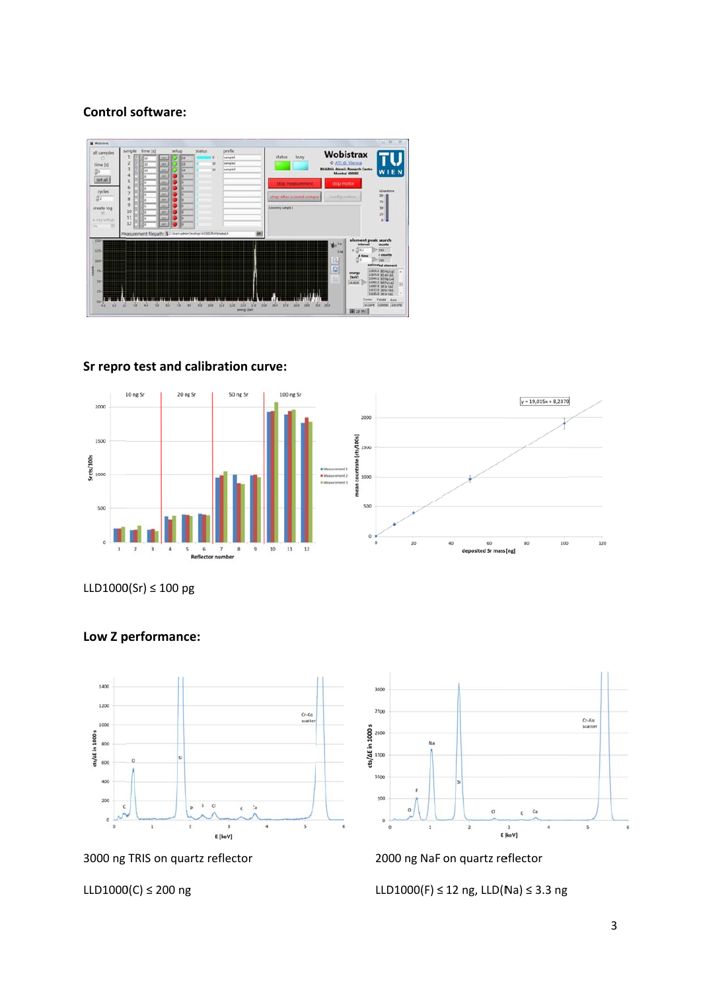## **Control software:**



#### **Sr repro o test and c calibration c curve:**





LLD1000(Sr) ≤ 100 pg



3000 ng TRIS on quartz reflector

#### LLD1000(C) ≤ 200 ng



2000 ng NaF on quartz reflector

L LLD1000(F) ≤ 12 ng, LLD(N Na) ≤ 3.3 ng

## **Low Z p performanc e:**